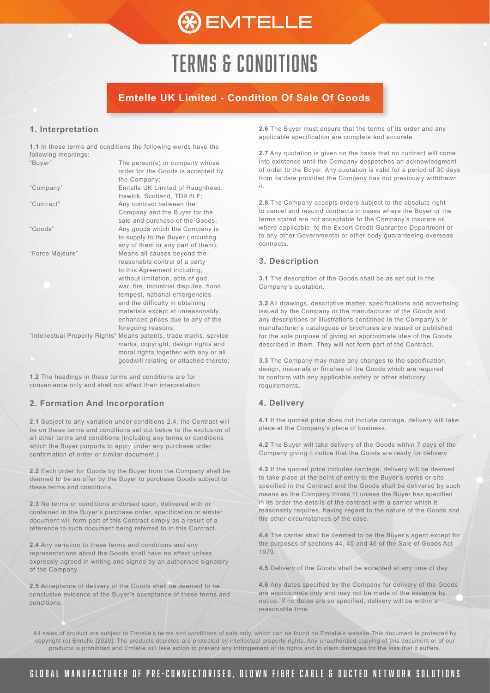

### **Emtelle UK Limited - Condition Of Sale Of Goods**

#### **1. Interpretation**

**1.1** In these terms and conditions the following words have the following meanings: "Buyer" The person(s) or company whose

|                 | order for the Goods is accepted by                                 |
|-----------------|--------------------------------------------------------------------|
|                 | the Company;                                                       |
| "Company"       | Emtelle UK Limited of Haughhead,                                   |
|                 | Hawick, Scotland, TD9 8LF;                                         |
| "Contract"      | Any contract between the                                           |
|                 | Company and the Buyer for the                                      |
|                 | sale and purchase of the Goods;                                    |
| "Goods"         | Any goods which the Company is                                     |
|                 | to supply to the Buyer (including                                  |
|                 | any of them or any part of them);                                  |
| "Force Majeure" | Means all causes beyond the                                        |
|                 | reasonable control of a party                                      |
|                 | to this Agreement including,                                       |
|                 | without limitation, acts of god,                                   |
|                 | war, fire, industrial disputes, flood,                             |
|                 | tempest, national emergencies                                      |
|                 | and the difficulty in obtaining                                    |
|                 | materials except at unreasonably                                   |
|                 | enhanced prices due to any of the                                  |
|                 | foregoing reasons;                                                 |
|                 | "Intellectual Property Rights" Means patents, trade marks, service |
|                 | marks, copyright, design rights and                                |
|                 | moral rights together with any or all                              |
|                 | goodwill relating or attached thereto;                             |
|                 |                                                                    |

**1.2** The headings in these terms and conditions are for convenience only and shall not affect their interpretation.

#### **2. Formation And Incorporation**

**2.1** Subject to any variation under conditions 2.4, the Contract will be on these terms and conditions set out below to the exclusion of all other terms and conditions (including any terms or conditions which the Buyer purports to apply under any purchase order, confirmation of order or similar document.)

**2.2** Each order for Goods by the Buyer from the Company shall be deemed to be an offer by the Buyer to purchase Goods subject to these terms and conditions.

**2.3** No terms or conditions endorsed upon, delivered with or contained in the Buyer's purchase order, specification or similar document will form part of this Contract simply as a result of a reference to such document being referred to in this Contract.

**2.4** Any variation to these terms and conditions and any representations about the Goods shall have no effect unless expressly agreed in writing and signed by an authorised signatory of the Company.

**2.5** Acceptance of delivery of the Goods shall be deemed to be conclusive evidence of the Buyer's acceptance of these terms and conditions.

**2.6** The Buyer must ensure that the terms of its order and any applicable specification are complete and accurate.

**2.7** Any quotation is given on the basis that no contract will come into existence until the Company despatches an acknowledgment of order to the Buyer. Any quotation is valid for a period of 30 days from its date provided the Company has not previously withdrawn it.

**2.8** The Company accepts orders subject to the absolute right to cancel and rescind contracts in cases where the Buyer or the terms stated are not acceptable to the Company's insurers or, where applicable, to the Export Credit Guarantee Department or to any other Governmental or other body guaranteeing overseas contracts.

#### **3. Description**

**3.1** The description of the Goods shall be as set out in the Company's quotation.

**3.2** All drawings, descriptive matter, specifications and advertising issued by the Company or the manufacturer of the Goods and any descriptions or illustrations contained in the Company's or manufacturer's catalogues or brochures are issued or published for the sole purpose of giving an approximate idea of the Goods described in them. They will not form part of the Contract.

**3.3** The Company may make any changes to the specification, design, materials or finishes of the Goods which are required to conform with any applicable safety or other statutory requirements.

#### **4. Delivery**

**4.1** If the quoted price does not include carriage, delivery will take place at the Company's place of business.

**4.2** The Buyer will take delivery of the Goods within 7 days of the Company giving it notice that the Goods are ready for delivery.

**4.3** If the quoted price includes carriage, delivery will be deemed to take place at the point of entry to the Buyer's works or site specified in the Contract and the Goods shall be delivered by such means as the Company thinks fit unless the Buyer has specified in its order the details of the contract with a carrier which it reasonably requires, having regard to the nature of the Goods and the other circumstances of the case.

**4.4** The carrier shall be deemed to be the Buyer's agent except for the purposes of sections 44, 45 and 46 of the Sale of Goods Act 1979.

**4.5** Delivery of the Goods shall be accepted at any time of day.

**4.6** Any dates specified by the Company for delivery of the Goods are approximate only and may not be made of the essence by notice. If no dates are so specified, delivery will be within a reasonable time.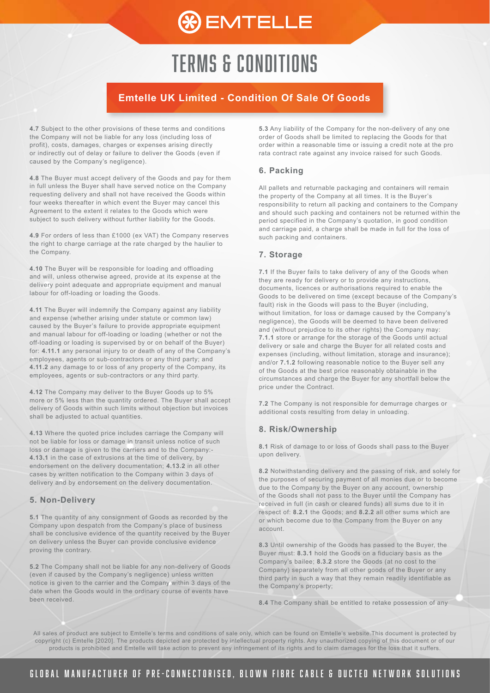

## **Emtelle UK Limited - Condition Of Sale Of Goods**

**4.7** Subject to the other provisions of these terms and conditions the Company will not be liable for any loss (including loss of profit), costs, damages, charges or expenses arising directly or indirectly out of delay or failure to deliver the Goods (even if caused by the Company's negligence).

**4.8** The Buyer must accept delivery of the Goods and pay for them in full unless the Buyer shall have served notice on the Company requesting delivery and shall not have received the Goods within four weeks thereafter in which event the Buyer may cancel this Agreement to the extent it relates to the Goods which were subject to such delivery without further liability for the Goods.

**4.9** For orders of less than £1000 (ex VAT) the Company reserves the right to charge carriage at the rate charged by the haulier to the Company.

**4.10** The Buyer will be responsible for loading and offloading and will, unless otherwise agreed, provide at its expense at the delivery point adequate and appropriate equipment and manual labour for off-loading or loading the Goods.

**4.11** The Buyer will indemnify the Company against any liability and expense (whether arising under statute or common law) caused by the Buyer's failure to provide appropriate equipment and manual labour for off-loading or loading (whether or not the off-loading or loading is supervised by or on behalf of the Buyer) for: **4.11.1** any personal injury to or death of any of the Company's employees, agents or sub-contractors or any third party; and **4.11.2** any damage to or loss of any property of the Company, its employees, agents or sub-contractors or any third party.

**4.12** The Company may deliver to the Buyer Goods up to 5% more or 5% less than the quantity ordered. The Buyer shall accept delivery of Goods within such limits without objection but invoices shall be adjusted to actual quantities.

**4.13** Where the quoted price includes carriage the Company will not be liable for loss or damage in transit unless notice of such loss or damage is given to the carriers and to the Company:- **4.13.1** in the case of extrusions at the time of delivery, by endorsement on the delivery documentation; **4.13.2** in all other cases by written notification to the Company within 3 days of delivery and by endorsement on the delivery documentation.

#### **5. Non-Delivery**

**5.1** The quantity of any consignment of Goods as recorded by the Company upon despatch from the Company's place of business shall be conclusive evidence of the quantity received by the Buyer on delivery unless the Buyer can provide conclusive evidence proving the contrary.

**5.2** The Company shall not be liable for any non-delivery of Goods (even if caused by the Company's negligence) unless written notice is given to the carrier and the Company within 3 days of the date when the Goods would in the ordinary course of events have been received.

**5.3** Any liability of the Company for the non-delivery of any one order of Goods shall be limited to replacing the Goods for that order within a reasonable time or issuing a credit note at the pro rata contract rate against any invoice raised for such Goods.

#### **6. Packing**

All pallets and returnable packaging and containers will remain the property of the Company at all times. It is the Buyer's responsibility to return all packing and containers to the Company and should such packing and containers not be returned within the period specified in the Company's quotation, in good condition and carriage paid, a charge shall be made in full for the loss of such packing and containers.

#### **7. Storage**

**7.1** If the Buyer fails to take delivery of any of the Goods when they are ready for delivery or to provide any instructions, documents, licences or authorisations required to enable the Goods to be delivered on time (except because of the Company's fault) risk in the Goods will pass to the Buyer (including, without limitation, for loss or damage caused by the Company's negligence), the Goods will be deemed to have been delivered and (without prejudice to its other rights) the Company may: **7.1.1** store or arrange for the storage of the Goods until actual delivery or sale and charge the Buyer for all related costs and expenses (including, without limitation, storage and insurance); and/or **7.1.2** following reasonable notice to the Buyer sell any of the Goods at the best price reasonably obtainable in the circumstances and charge the Buyer for any shortfall below the price under the Contract.

**7.2** The Company is not responsible for demurrage charges or additional costs resulting from delay in unloading.

#### **8. Risk/Ownership**

**8.1** Risk of damage to or loss of Goods shall pass to the Buyer upon delivery.

**8.2** Notwithstanding delivery and the passing of risk, and solely for the purposes of securing payment of all monies due or to become due to the Company by the Buyer on any account, ownership of the Goods shall not pass to the Buyer until the Company has received in full (in cash or cleared funds) all sums due to it in respect of: **8.2.1** the Goods; and **8.2.2** all other sums which are or which become due to the Company from the Buyer on any account.

**8.3** Until ownership of the Goods has passed to the Buyer, the Buyer must: **8.3.1** hold the Goods on a fiduciary basis as the Company's bailee; **8.3.2** store the Goods (at no cost to the Company) separately from all other goods of the Buyer or any third party in such a way that they remain readily identifiable as the Company's property;

**8.4** The Company shall be entitled to retake possession of any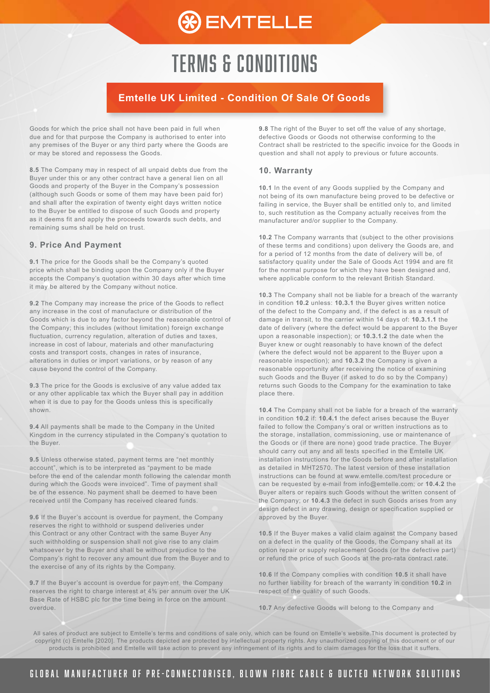

### **Emtelle UK Limited - Condition Of Sale Of Goods**

Goods for which the price shall not have been paid in full when due and for that purpose the Company is authorised to enter into any premises of the Buyer or any third party where the Goods are or may be stored and repossess the Goods.

**8.5** The Company may in respect of all unpaid debts due from the Buyer under this or any other contract have a general lien on all Goods and property of the Buyer in the Company's possession (although such Goods or some of them may have been paid for) and shall after the expiration of twenty eight days written notice to the Buyer be entitled to dispose of such Goods and property as it deems fit and apply the proceeds towards such debts, and remaining sums shall be held on trust.

#### **9. Price And Payment**

**9.1** The price for the Goods shall be the Company's quoted price which shall be binding upon the Company only if the Buyer accepts the Company's quotation within 30 days after which time it may be altered by the Company without notice.

**9.2** The Company may increase the price of the Goods to reflect any increase in the cost of manufacture or distribution of the Goods which is due to any factor beyond the reasonable control of the Company; this includes (without limitation) foreign exchange fluctuation, currency regulation, alteration of duties and taxes, increase in cost of labour, materials and other manufacturing costs and transport costs, changes in rates of insurance, alterations in duties or import variations, or by reason of any cause beyond the control of the Company.

**9.3** The price for the Goods is exclusive of any value added tax or any other applicable tax which the Buyer shall pay in addition when it is due to pay for the Goods unless this is specifically shown.

**9.4** All payments shall be made to the Company in the United Kingdom in the currency stipulated in the Company's quotation to the Buyer.

**9.5** Unless otherwise stated, payment terms are "net monthly account", which is to be interpreted as "payment to be made before the end of the calendar month following the calendar month during which the Goods were invoiced". Time of payment shall be of the essence. No payment shall be deemed to have been received until the Company has received cleared funds.

**9.6** If the Buyer's account is overdue for payment, the Company reserves the right to withhold or suspend deliveries under this Contract or any other Contract with the same Buyer Any such withholding or suspension shall not give rise to any claim whatsoever by the Buyer and shall be without prejudice to the Company's right to recover any amount due from the Buyer and to the exercise of any of its rights by the Company.

**9.7** If the Buyer's account is overdue for payment, the Company reserves the right to charge interest at 4% per annum over the UK Base Rate of HSBC plc for the time being in force on the amount overdue.

**9.8** The right of the Buyer to set off the value of any shortage, defective Goods or Goods not otherwise conforming to the Contract shall be restricted to the specific invoice for the Goods in question and shall not apply to previous or future accounts.

#### **10. Warranty**

**10.1** In the event of any Goods supplied by the Company and not being of its own manufacture being proved to be defective or failing in service, the Buyer shall be entitled only to, and limited to, such restitution as the Company actually receives from the manufacturer and/or supplier to the Company.

**10.2** The Company warrants that (subject to the other provisions of these terms and conditions) upon delivery the Goods are, and for a period of 12 months from the date of delivery will be, of satisfactory quality under the Sale of Goods Act 1994 and are fit for the normal purpose for which they have been designed and, where applicable conform to the relevant British Standard.

**10.3** The Company shall not be liable for a breach of the warranty in condition **10.2** unless: **10.3.1** the Buyer gives written notice of the defect to the Company and, if the defect is as a result of damage in transit, to the carrier within 14 days of: **10.3.1.1** the date of delivery (where the defect would be apparent to the Buyer upon a reasonable inspection); or **10.3.1.2** the date when the Buyer knew or ought reasonably to have known of the defect (where the defect would not be apparent to the Buyer upon a reasonable inspection); and **10.3.2** the Company is given a reasonable opportunity after receiving the notice of examining such Goods and the Buyer (if asked to do so by the Company) returns such Goods to the Company for the examination to take place there.

**10.4** The Company shall not be liable for a breach of the warranty in condition **10.2** if: **10.4.1** the defect arises because the Buyer failed to follow the Company's oral or written instructions as to the storage, installation, commissioning, use or maintenance of the Goods or (if there are none) good trade practice. The Buyer should carry out any and all tests specified in the Emtelle UK installation instructions for the Goods before and after installation as detailed in MHT2570. The latest version of these installation instructions can be found at www.emtelle.com/test procedure or can be requested by e-mail from info@emtelle.com; or **10.4.2** the Buyer alters or repairs such Goods without the written consent of the Company; or **10.4.3** the defect in such Goods arises from any design defect in any drawing, design or specification supplied or approved by the Buyer.

**10.5** If the Buyer makes a valid claim against the Company based on a defect in the quality of the Goods, the Company shall at its option repair or supply replacement Goods (or the defective part) or refund the price of such Goods at the pro-rata contract rate.

**10.6** If the Company complies with condition **10.5** it shall have no further liability for breach of the warranty in condition **10.2** in respect of the quality of such Goods.

**10.7** Any defective Goods will belong to the Company and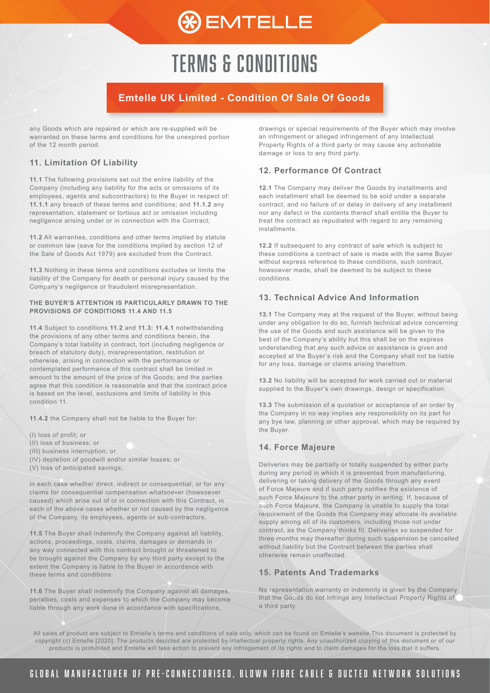## **Emtelle UK Limited - Condition Of Sale Of Goods**

any Goods which are repaired or which are re-supplied will be warranted on these terms and conditions for the unexpired portion of the 12 month period.

#### **11. Limitation Of Liability**

**11.1** The following provisions set out the entire liability of the Company (including any liability for the acts or omissions of its employees, agents and subcontractors) to the Buyer in respect of: **11.1.1** any breach of these terms and conditions; and **11.1.2** any representation, statement or tortious act or omission including negligence arising under or in connection with the Contract;

**11.2** All warranties, conditions and other terms implied by statute or common law (save for the conditions implied by section 12 of the Sale of Goods Act 1979) are excluded from the Contract.

**11.3** Nothing in these terms and conditions excludes or limits the liability of the Company for death or personal injury caused by the Company's negligence or fraudulent misrepresentation.

#### **THE BUYER'S ATTENTION IS PARTICULARLY DRAWN TO THE PROVISIONS OF CONDITIONS 11.4 AND 11.5**

**11.4** Subject to conditions **11.2** and **11.3: 11.4.1** notwithstanding the provisions of any other terms and conditions herein, the Company's total liability in contract, tort (including negligence or breach of statutory duty), misrepresentation, restitution or otherwise, arising in connection with the performance or contemplated performance of this contract shall be limited in amount to the amount of the price of the Goods; and the parties agree that this condition is reasonable and that the contract price is based on the level, exclusions and limits of liability in this condition 11.

**11.4.2** the Company shall not be liable to the Buyer for:

- (I) loss of profit; or
- (II) loss of business; or
- (III) business interruption; or
- (IV) depletion of goodwill and/or similar losses; or
- (V) loss of anticipated savings;

in each case whether direct, indirect or consequential, or for any claims for consequential compensation whatsoever (howsoever caused) which arise out of or in connection with this Contract, in each of the above cases whether or not caused by the negligence of the Company, its employees, agents or sub-contractors.

**11.5** The Buyer shall indemnify the Company against all liability, actions, proceedings, costs, claims, damages or demands in any way connected with this contract brought or threatened to be brought against the Company by any third party except to the extent the Company is liable to the Buyer in accordance with these terms and conditions.

**11.6** The Buyer shall indemnify the Company against all damages, penalties, costs and expenses to which the Company may become liable through any work done in accordance with specifications,

drawings or special requirements of the Buyer which may involve an infringement or alleged infringement of any Intellectual Property Rights of a third party or may cause any actionable damage or loss to any third party.

#### **12. Performance Of Contract**

**12.1** The Company may deliver the Goods by installments and each installment shall be deemed to be sold under a separate contract, and no failure of or delay in delivery of any installment nor any defect in the contents thereof shall entitle the Buyer to treat the contract as repudiated with regard to any remaining installments.

**12.2** If subsequent to any contract of sale which is subject to these conditions a contract of sale is made with the same Buyer without express reference to these conditions, such contract, howsoever made, shall be deemed to be subject to these conditions.

#### **13. Technical Advice And Information**

**13.1** The Company may at the request of the Buyer, without being under any obligation to do so, furnish technical advice concerning the use of the Goods and such assistance will be given to the best of the Company's ability but this shall be on the express understanding that any such advice or assistance is given and accepted at the Buyer's risk and the Company shall not be liable for any loss, damage or claims arising therefrom.

**13.2** No liability will be accepted for work carried out or material supplied to the Buyer's own drawings, design or specification.

**13.3** The submission of a quotation or acceptance of an order by the Company in no way implies any responsibility on its part for any bye law, planning or other approval, which may be required by the Buyer.

#### **14. Force Majeure**

Deliveries may be partially or totally suspended by either party during any period in which it is prevented from manufacturing, delivering or taking delivery of the Goods through any event of Force Majeure and if such party notifies the existence of such Force Majeure to the other party in writing. If, because of such Force Majeure, the Company is unable to supply the total requirement of the Goods the Company may allocate its available supply among all of its customers, including those not under contract, as the Company thinks fit. Deliveries so suspended for three months may thereafter during such suspension be cancelled without liability but the Contract between the parties shall otherwise remain unaffected.

#### **15. Patents And Trademarks**

No representation warranty or indemnity is given by the Company that the Goods do not infringe any Intellectual Property Rights of a third party.